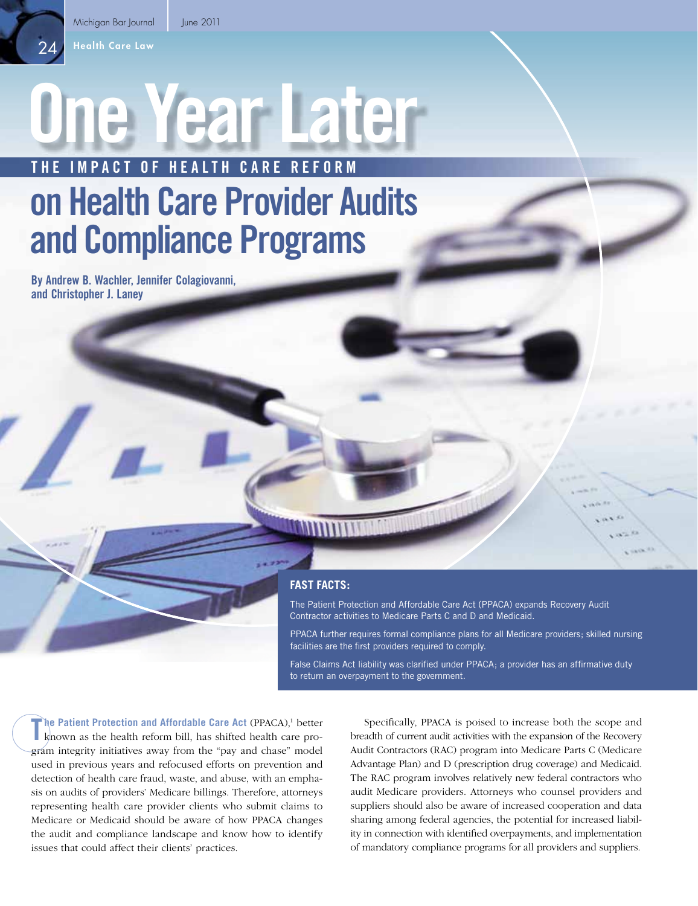Health Care Law

24

# **One Year Later THE IMPACT OF HEALTH CARE REFORM**

# **on Health Care Provider Audits and Compliance Programs**

**By Andrew B. Wachler, Jennifer Colagiovanni, and Christopher J. Laney**

# **FAST FACTS:**

The Patient Protection and Affordable Care Act (PPACA) expands Recovery Audit Contractor activities to Medicare Parts C and D and Medicaid.

PPACA further requires formal compliance plans for all Medicare providers; skilled nursing facilities are the first providers required to comply.

False Claims Act liability was clarified under PPACA; a provider has an affirmative duty to return an overpayment to the government.

The Patient Protection and Affordable Care Act (PPACA),<sup>1</sup> better known as the health reform bill, has shifted health care proknown as the health reform bill, has shifted health care program integrity initiatives away from the "pay and chase" model used in previous years and refocused efforts on prevention and detection of health care fraud, waste, and abuse, with an emphasis on audits of providers' Medicare billings. Therefore, attorneys representing health care provider clients who submit claims to Medicare or Medicaid should be aware of how PPACA changes the audit and compliance landscape and know how to identify issues that could affect their clients' practices.

Specifically, PPACA is poised to increase both the scope and breadth of current audit activities with the expansion of the Recovery Audit Contractors (RAC) program into Medicare Parts C (Medicare Advantage Plan) and D (prescription drug coverage) and Medicaid. The RAC program involves relatively new federal contractors who audit Medicare providers. Attorneys who counsel providers and suppliers should also be aware of increased cooperation and data sharing among federal agencies, the potential for increased liability in connection with identified overpayments, and implementation of mandatory compliance programs for all providers and suppliers.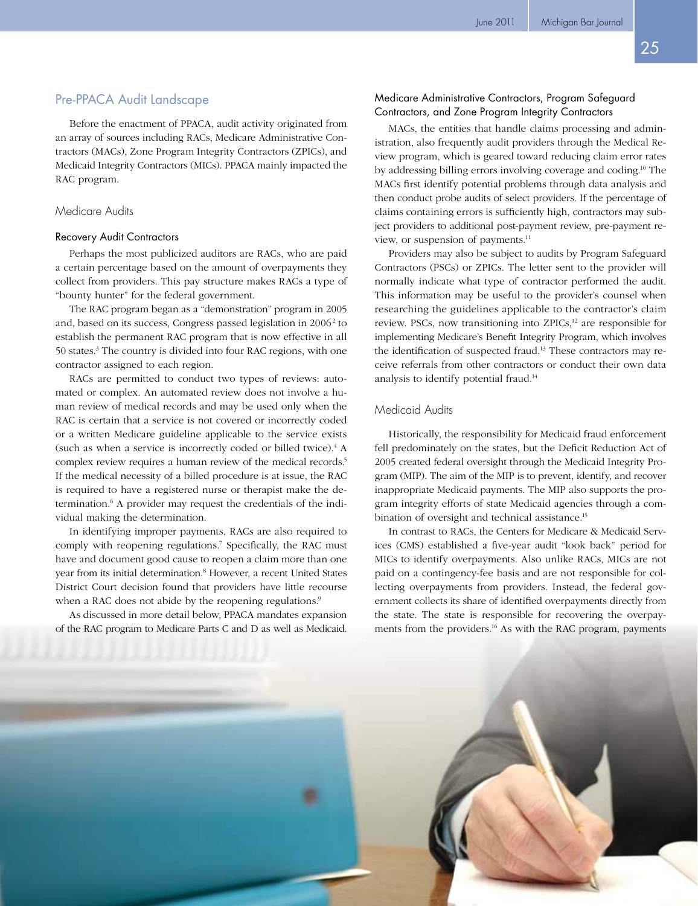# Pre-PPACA Audit Landscape

Before the enactment of PPACA, audit activity originated from an array of sources including RACs, Medicare Administrative Contractors (MACs), Zone Program Integrity Contractors (ZPICs), and Medicaid Integrity Contractors (MICs). PPACA mainly impacted the RAC program.

# Medicare Audits

### Recovery Audit Contractors

Perhaps the most publicized auditors are RACs, who are paid a certain percentage based on the amount of overpayments they collect from providers. This pay structure makes RACs a type of "bounty hunter" for the federal government.

The RAC program began as a "demonstration" program in 2005 and, based on its success, Congress passed legislation in 2006<sup>2</sup> to establish the permanent RAC program that is now effective in all 50 states.<sup>3</sup> The country is divided into four RAC regions, with one contractor assigned to each region.

RACs are permitted to conduct two types of reviews: automated or complex. An automated review does not involve a human review of medical records and may be used only when the RAC is certain that a service is not covered or incorrectly coded or a written Medicare guideline applicable to the service exists (such as when a service is incorrectly coded or billed twice).<sup>4</sup> A complex review requires a human review of the medical records.<sup>5</sup> If the medical necessity of a billed procedure is at issue, the RAC is required to have a registered nurse or therapist make the determination.<sup>6</sup> A provider may request the credentials of the individual making the determination.

In identifying improper payments, RACs are also required to comply with reopening regulations.<sup>7</sup> Specifically, the RAC must have and document good cause to reopen a claim more than one year from its initial determination.<sup>8</sup> However, a recent United States District Court decision found that providers have little recourse when a RAC does not abide by the reopening regulations.<sup>9</sup>

As discussed in more detail below, PPACA mandates expansion of the RAC program to Medicare Parts C and D as well as Medicaid.

# Medicare Administrative Contractors, Program Safeguard Contractors, and Zone Program Integrity Contractors

MACs, the entities that handle claims processing and administration, also frequently audit providers through the Medical Review program, which is geared toward reducing claim error rates by addressing billing errors involving coverage and coding.10 The MACs first identify potential problems through data analysis and then conduct probe audits of select providers. If the percentage of claims containing errors is sufficiently high, contractors may subject providers to additional post-payment review, pre-payment review, or suspension of payments.<sup>11</sup>

Providers may also be subject to audits by Program Safeguard Contractors (PSCs) or ZPICs. The letter sent to the provider will normally indicate what type of contractor performed the audit. This information may be useful to the provider's counsel when researching the guidelines applicable to the contractor's claim review. PSCs, now transitioning into ZPICs,<sup>12</sup> are responsible for implementing Medicare's Benefit Integrity Program, which involves the identification of suspected fraud.<sup>13</sup> These contractors may receive referrals from other contractors or conduct their own data analysis to identify potential fraud.14

# Medicaid Audits

Historically, the responsibility for Medicaid fraud enforcement fell predominately on the states, but the Deficit Reduction Act of 2005 created federal oversight through the Medicaid Integrity Program (MIP). The aim of the MIP is to prevent, identify, and recover inappropriate Medicaid payments. The MIP also supports the program integrity efforts of state Medicaid agencies through a combination of oversight and technical assistance.<sup>15</sup>

In contrast to RACs, the Centers for Medicare & Medicaid Services (CMS) established a five-year audit "look back" period for MICs to identify overpayments. Also unlike RACs, MICs are not paid on a contingency-fee basis and are not responsible for collecting overpayments from providers. Instead, the federal government collects its share of identified overpayments directly from the state. The state is responsible for recovering the overpayments from the providers.16 As with the RAC program, payments

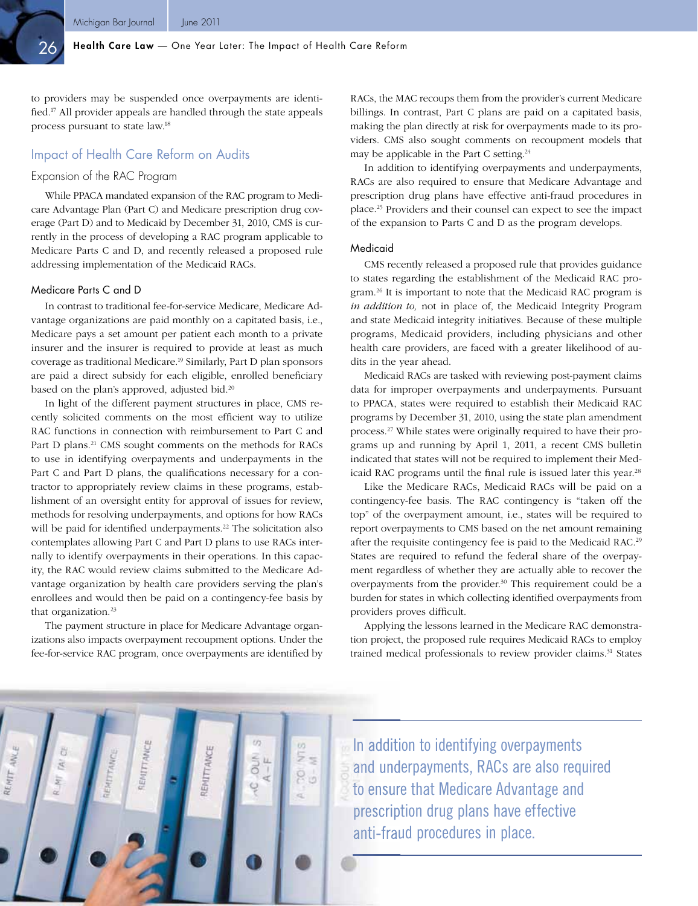26

to providers may be suspended once overpayments are identified.<sup>17</sup> All provider appeals are handled through the state appeals process pursuant to state law.18

# Impact of Health Care Reform on Audits

# Expansion of the RAC Program

While PPACA mandated expansion of the RAC program to Medicare Advantage Plan (Part C) and Medicare prescription drug coverage (Part D) and to Medicaid by December 31, 2010, CMS is currently in the process of developing a RAC program applicable to Medicare Parts C and D, and recently released a proposed rule addressing implementation of the Medicaid RACs.

### Medicare Parts C and D

In contrast to traditional fee-for-service Medicare, Medicare Advantage organizations are paid monthly on a capitated basis, i.e., Medicare pays a set amount per patient each month to a private insurer and the insurer is required to provide at least as much coverage as traditional Medicare.19 Similarly, Part D plan sponsors are paid a direct subsidy for each eligible, enrolled beneficiary based on the plan's approved, adjusted bid.20

In light of the different payment structures in place, CMS recently solicited comments on the most efficient way to utilize RAC functions in connection with reimbursement to Part C and Part D plans.<sup>21</sup> CMS sought comments on the methods for RACs to use in identifying overpayments and underpayments in the Part C and Part D plans, the qualifications necessary for a contractor to appropriately review claims in these programs, establishment of an oversight entity for approval of issues for review, methods for resolving underpayments, and options for how RACs will be paid for identified underpayments.<sup>22</sup> The solicitation also contemplates allowing Part C and Part D plans to use RACs internally to identify overpayments in their operations. In this capacity, the RAC would review claims submitted to the Medicare Advantage organization by health care providers serving the plan's enrollees and would then be paid on a contingency-fee basis by that organization.<sup>23</sup>

The payment structure in place for Medicare Advantage organizations also impacts overpayment recoupment options. Under the fee-for-service RAC program, once overpayments are identified by

RACs, the MAC recoups them from the provider's current Medicare billings. In contrast, Part C plans are paid on a capitated basis, making the plan directly at risk for overpayments made to its providers. CMS also sought comments on recoupment models that may be applicable in the Part C setting. $24$ 

In addition to identifying overpayments and underpayments, RACs are also required to ensure that Medicare Advantage and prescription drug plans have effective anti-fraud procedures in place.25 Providers and their counsel can expect to see the impact of the expansion to Parts C and D as the program develops.

#### Medicaid

CMS recently released a proposed rule that provides guidance to states regarding the establishment of the Medicaid RAC program.<sup>26</sup> It is important to note that the Medicaid RAC program is *in addition to,* not in place of, the Medicaid Integrity Program and state Medicaid integrity initiatives. Because of these multiple programs, Medicaid providers, including physicians and other health care providers, are faced with a greater likelihood of audits in the year ahead.

Medicaid RACs are tasked with reviewing post-payment claims data for improper overpayments and underpayments. Pursuant to PPACA, states were required to establish their Medicaid RAC programs by December 31, 2010, using the state plan amendment process.27 While states were originally required to have their programs up and running by April 1, 2011, a recent CMS bulletin indicated that states will not be required to implement their Medicaid RAC programs until the final rule is issued later this year.<sup>28</sup>

Like the Medicare RACs, Medicaid RACs will be paid on a contingency-fee basis. The RAC contingency is "taken off the top" of the overpayment amount, i.e., states will be required to report overpayments to CMS based on the net amount remaining after the requisite contingency fee is paid to the Medicaid RAC.<sup>29</sup> States are required to refund the federal share of the overpayment regardless of whether they are actually able to recover the overpayments from the provider.<sup>30</sup> This requirement could be a burden for states in which collecting identified overpayments from providers proves difficult.

Applying the lessons learned in the Medicare RAC demonstration project, the proposed rule requires Medicaid RACs to employ trained medical professionals to review provider claims.<sup>31</sup> States



In addition to identifying overpayments and underpayments, RACs are also required to ensure that Medicare Advantage and prescription drug plans have effective anti-fraud procedures in place.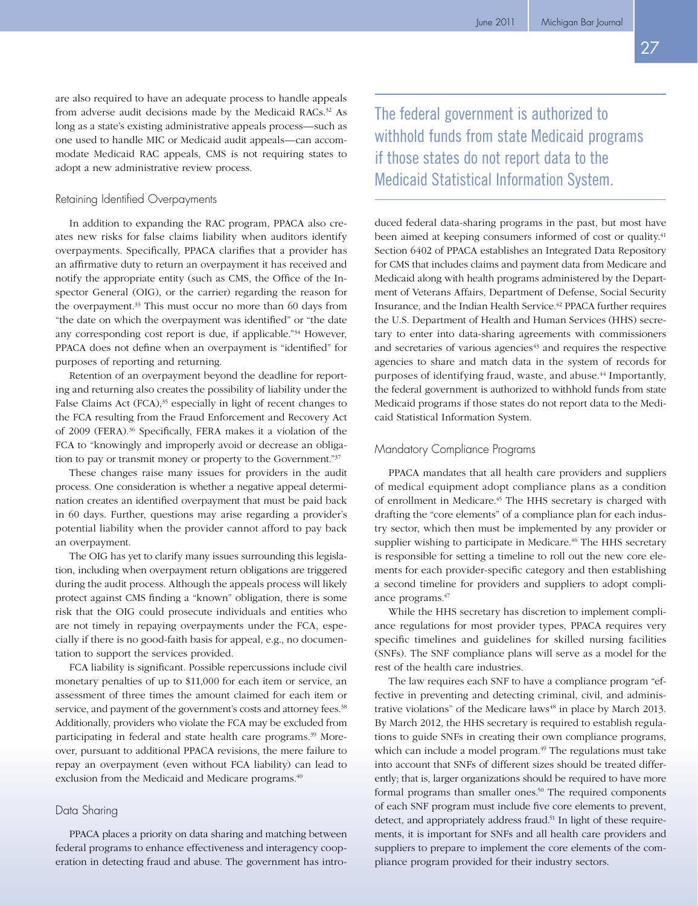are also required to have an adequate process to handle appeals from adverse audit decisions made by the Medicaid RACs.<sup>32</sup> As long as a state's existing administrative appeals process—such as one used to handle MIC or Medicaid audit appeals—can accommodate Medicaid RAC appeals, CMS is not requiring states to adopt a new administrative review process.

### Retaining Identified Overpayments

In addition to expanding the RAC program, PPACA also creates new risks for false claims liability when auditors identify overpayments. Specifically, PPACA clarifies that a provider has an affirmative duty to return an overpayment it has received and notify the appropriate entity (such as CMS, the Office of the Inspector General (OIG), or the carrier) regarding the reason for the overpayment.<sup>33</sup> This must occur no more than 60 days from "the date on which the overpayment was identified" or "the date any corresponding cost report is due, if applicable."34 However, PPACA does not define when an overpayment is "identified" for purposes of reporting and returning.

Retention of an overpayment beyond the deadline for reporting and returning also creates the possibility of liability under the False Claims Act  $(FCA),<sup>35</sup>$  especially in light of recent changes to the FCA resulting from the Fraud Enforcement and Recovery Act of 2009 (FERA).<sup>36</sup> Specifically, FERA makes it a violation of the FCA to "knowingly and improperly avoid or decrease an obligation to pay or transmit money or property to the Government."37

These changes raise many issues for providers in the audit process. One consideration is whether a negative appeal determination creates an identified overpayment that must be paid back in 60 days. Further, questions may arise regarding a provider's potential liability when the provider cannot afford to pay back an overpayment.

The OIG has yet to clarify many issues surrounding this legislation, including when overpayment return obligations are triggered during the audit process. Although the appeals process will likely protect against CMS finding a "known" obligation, there is some risk that the OIG could prosecute individuals and entities who are not timely in repaying overpayments under the FCA, especially if there is no good-faith basis for appeal, e.g., no documentation to support the services provided.

FCA liability is significant. Possible repercussions include civil monetary penalties of up to \$11,000 for each item or service, an assessment of three times the amount claimed for each item or service, and payment of the government's costs and attorney fees.<sup>38</sup> Additionally, providers who violate the FCA may be excluded from participating in federal and state health care programs.<sup>39</sup> Moreover, pursuant to additional PPACA revisions, the mere failure to repay an overpayment (even without FCA liability) can lead to exclusion from the Medicaid and Medicare programs.<sup>40</sup>

### Data Sharing

PPACA places a priority on data sharing and matching between federal programs to enhance effectiveness and interagency cooperation in detecting fraud and abuse. The government has introThe federal government is authorized to withhold funds from state Medicaid programs if those states do not report data to the Medicaid Statistical Information System.

duced federal data-sharing programs in the past, but most have been aimed at keeping consumers informed of cost or quality.<sup>41</sup> Section 6402 of PPACA establishes an Integrated Data Repository for CMS that includes claims and payment data from Medicare and Medicaid along with health programs administered by the Department of Veterans Affairs, Department of Defense, Social Security Insurance, and the Indian Health Service.42 PPACA further requires the U.S. Department of Health and Human Services (HHS) secretary to enter into data-sharing agreements with commissioners and secretaries of various agencies<sup>43</sup> and requires the respective agencies to share and match data in the system of records for purposes of identifying fraud, waste, and abuse.<sup>44</sup> Importantly, the federal government is authorized to withhold funds from state Medicaid programs if those states do not report data to the Medicaid Statistical Information System.

# Mandatory Compliance Programs

PPACA mandates that all health care providers and suppliers of medical equipment adopt compliance plans as a condition of enrollment in Medicare.45 The HHS secretary is charged with drafting the "core elements" of a compliance plan for each industry sector, which then must be implemented by any provider or supplier wishing to participate in Medicare.<sup>46</sup> The HHS secretary is responsible for setting a timeline to roll out the new core elements for each provider-specific category and then establishing a second timeline for providers and suppliers to adopt compliance programs.47

While the HHS secretary has discretion to implement compliance regulations for most provider types, PPACA requires very specific timelines and guidelines for skilled nursing facilities (SNFs). The SNF compliance plans will serve as a model for the rest of the health care industries.

The law requires each SNF to have a compliance program "effective in preventing and detecting criminal, civil, and administrative violations" of the Medicare laws<sup>48</sup> in place by March 2013. By March 2012, the HHS secretary is required to establish regulations to guide SNFs in creating their own compliance programs, which can include a model program.<sup>49</sup> The regulations must take into account that SNFs of different sizes should be treated differently; that is, larger organizations should be required to have more formal programs than smaller ones.<sup>50</sup> The required components of each SNF program must include five core elements to prevent, detect, and appropriately address fraud.<sup>51</sup> In light of these requirements, it is important for SNFs and all health care providers and suppliers to prepare to implement the core elements of the compliance program provided for their industry sectors.